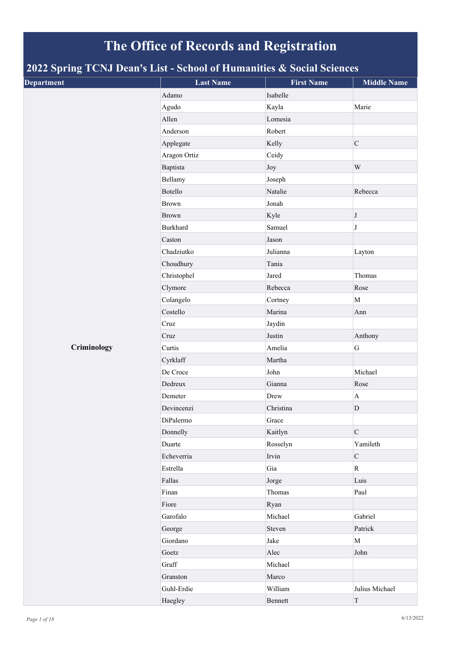## **The Office of Records and Registration**

## **2022 Spring TCNJ Dean's List - School of Humanities & Social Sciences**

| $\circ$<br><b>Department</b> | <b>Last Name</b> | <b>First Name</b> | <b>Middle Name</b> |
|------------------------------|------------------|-------------------|--------------------|
|                              | Adamo            | Isabelle          |                    |
|                              | Agudo            | Kayla             | Marie              |
|                              | Allen            | Lomesia           |                    |
|                              | Anderson         | Robert            |                    |
|                              | Applegate        | Kelly             | $\mathbf C$        |
|                              | Aragon Ortiz     | Ceidy             |                    |
|                              | Baptista         | Joy               | $\mathbf W$        |
|                              | Bellamy          | Joseph            |                    |
|                              | Botello          | Natalie           | Rebecca            |
|                              | Brown            | Jonah             |                    |
|                              | <b>Brown</b>     | Kyle              | J                  |
|                              | <b>Burkhard</b>  | Samuel            | J                  |
|                              | Caston           | Jason             |                    |
|                              | Chadziutko       | Julianna          | Layton             |
|                              | Choudhury        | Tania             |                    |
|                              | Christophel      | Jared             | Thomas             |
|                              | Clymore          | Rebecca           | Rose               |
|                              | Colangelo        | Cortney           | $\mathbf M$        |
|                              | Costello         | Marina            | Ann                |
|                              | Cruz             | Jaydin            |                    |
|                              | Cruz             | Justin            | Anthony            |
| Criminology                  | Curtis           | Amelia            | ${\bf G}$          |
|                              | Cyrklaff         | Martha            |                    |
|                              | De Croce         | John              | Michael            |
|                              | Dedreux          | Gianna            | Rose               |
|                              | Demeter          | Drew              | $\mathbf A$        |
|                              | Devincenzi       | Christina         | ${\rm D}$          |
|                              | DiPalermo        | Grace             |                    |
|                              | Donnelly         | Kaitlyn           | $\mathbf C$        |
|                              | Duarte           | Rosselyn          | Yamileth           |
|                              | Echeverria       | Irvin             | $\mathbf C$        |
|                              | Estrella         | Gia               | $\mathbf R$        |
|                              | Fallas           | Jorge             | Luis               |
|                              | Finan            | Thomas            | Paul               |
|                              | Fiore            | Ryan              |                    |
|                              | Garofalo         | Michael           | Gabriel            |
|                              | George           | Steven            | Patrick            |
|                              | Giordano         | Jake              | $\mathbf M$        |
|                              | Goetz            | Alec              | John               |
|                              | Graff            | Michael           |                    |
|                              | Granston         | Marco             |                    |
|                              | Guhl-Erdie       | William           | Julius Michael     |
|                              | Haegley          | Bennett           | $\mathcal T$       |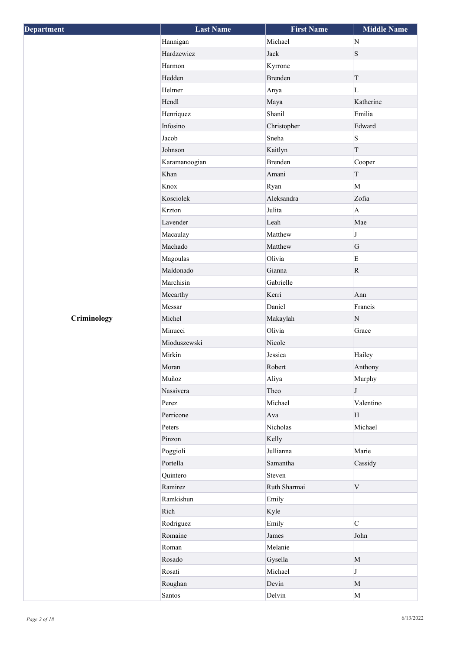| Department  | <b>Last Name</b> | <b>First Name</b> | <b>Middle Name</b> |
|-------------|------------------|-------------------|--------------------|
|             | Hannigan         | Michael           | $\mathbf N$        |
|             | Hardzewicz       | Jack              | $\, {\bf S}$       |
|             | Harmon           | Kyrrone           |                    |
|             | Hedden           | <b>Brenden</b>    | $\mathbf T$        |
|             | Helmer           | Anya              | L                  |
|             | Hendl            | Maya              | Katherine          |
|             | Henriquez        | Shanil            | Emilia             |
|             | Infosino         | Christopher       | Edward             |
|             | Jacob            | Sneha             | $\mathbf S$        |
|             | Johnson          | Kaitlyn           | $\rm T$            |
|             | Karamanoogian    | Brenden           | Cooper             |
|             | Khan             | Amani             | $\mathbf T$        |
|             | Knox             | Ryan              | $\mathbf{M}$       |
|             | Kosciolek        | Aleksandra        | Zofia              |
|             | Krzton           | Julita            | $\mathbf{A}$       |
|             | Lavender         | Leah              | Mae                |
|             | Macaulay         | Matthew           | $\bf J$            |
|             | Machado          | Matthew           | $\overline{G}$     |
|             | Magoulas         | Olivia            | $\mathbf E$        |
|             | Maldonado        | Gianna            | $\mathbf R$        |
|             | Marchisin        | Gabrielle         |                    |
|             | Mccarthy         | Kerri             | Ann                |
|             | Messar           | Daniel            | Francis            |
| Criminology | Michel           | Makaylah          | $\mathbf N$        |
|             | Minucci          | Olivia            | Grace              |
|             | Mioduszewski     | Nicole            |                    |
|             | Mirkin           | Jessica           | Hailey             |
|             | Moran            | Robert            | Anthony            |
|             | Muñoz            | Aliya             | Murphy             |
|             | Nassivera        | Theo              | $\bf J$            |
|             | Perez            | Michael           | Valentino          |
|             | Perricone        | Ava               | H                  |
|             | Peters           | Nicholas          | Michael            |
|             | Pinzon           | Kelly             |                    |
|             | Poggioli         | Jullianna         | Marie              |
|             | Portella         | Samantha          | Cassidy            |
|             | Quintero         | Steven            |                    |
|             | Ramirez          | Ruth Sharmai      | $\mathbf V$        |
|             | Ramkishun        | Emily             |                    |
|             | Rich             | Kyle              |                    |
|             | Rodriguez        | Emily             | $\overline{C}$     |
|             | Romaine          | James             | John               |
|             | Roman            | Melanie           |                    |
|             | Rosado           | Gysella           | $\mathbf M$        |
|             | Rosati           | Michael           | $\bf J$            |
|             | Roughan          | Devin             | $\mathbf{M}$       |
|             | Santos           | Delvin            | $\mathbf M$        |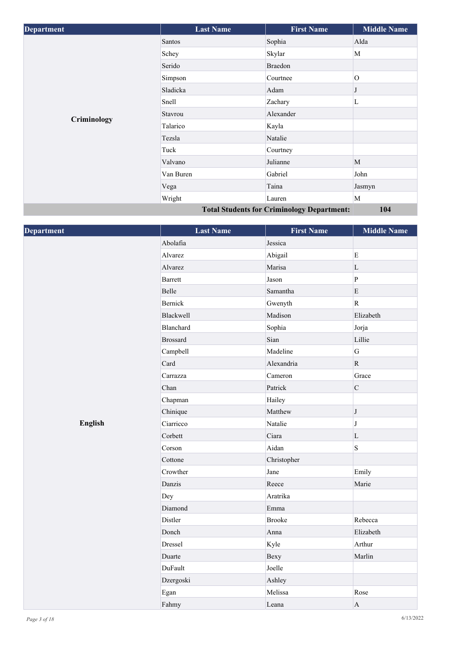| <b>Department</b> | <b>Last Name</b> | <b>First Name</b>                                 | <b>Middle Name</b> |
|-------------------|------------------|---------------------------------------------------|--------------------|
|                   | Santos           | Sophia                                            | Alda               |
|                   | Schey            | Skylar                                            | $\mathbf M$        |
|                   | Serido           | <b>Braedon</b>                                    |                    |
|                   | Simpson          | Courtnee                                          | $\Omega$           |
|                   | Sladicka         | Adam                                              |                    |
|                   | Snell            | Zachary                                           | L                  |
|                   | Stavrou          | Alexander                                         |                    |
| Criminology       | Talarico         | Kayla                                             |                    |
|                   | Tezsla           | Natalie                                           |                    |
|                   | Tuck             | Courtney                                          |                    |
|                   | Valvano          | Julianne                                          | M                  |
|                   | Van Buren        | Gabriel                                           | John               |
|                   | Vega             | Taina                                             | Jasmyn             |
|                   | Wright           | Lauren                                            | $\mathbf M$        |
|                   |                  | <b>Total Students for Criminology Department:</b> | 104                |

| Department     | <b>Last Name</b> | <b>First Name</b> | <b>Middle Name</b>        |
|----------------|------------------|-------------------|---------------------------|
|                | Abolafia         | Jessica           |                           |
| <b>English</b> | Alvarez          | Abigail           | $\mathbf E$               |
|                | Alvarez          | Marisa            | $\mathbf{L}$              |
|                | <b>Barrett</b>   | Jason             | $\bf{P}$                  |
|                | Belle            | Samantha          | E                         |
|                | Bernick          | Gwenyth           | $\overline{\mathsf{R}}$   |
|                | Blackwell        | Madison           | Elizabeth                 |
|                | Blanchard        | Sophia            | Jorja                     |
|                | <b>Brossard</b>  | Sian              | Lillie                    |
|                | Campbell         | Madeline          | $\overline{G}$            |
|                | Card             | Alexandria        | ${\bf R}$                 |
|                | Carrazza         | Cameron           | Grace                     |
|                | Chan             | Patrick           | $\mathbf C$               |
|                | Chapman          | Hailey            |                           |
|                | Chinique         | Matthew           | J                         |
|                | Ciarricco        | Natalie           | $\bf J$                   |
|                | Corbett          | Ciara             | $\mathbf{L}$              |
|                | Corson           | Aidan             | $\mathbf S$               |
|                | Cottone          | Christopher       |                           |
|                | Crowther         | Jane              | Emily                     |
|                | Danzis           | Reece             | Marie                     |
|                | Dey              | Aratrika          |                           |
|                | Diamond          | Emma              |                           |
|                | Distler          | <b>Brooke</b>     | Rebecca                   |
|                | Donch            | Anna              | Elizabeth                 |
|                | Dressel          | Kyle              | Arthur                    |
|                | Duarte           | Bexy              | Marlin                    |
|                | DuFault          | Joelle            |                           |
|                | Dzergoski        | Ashley            |                           |
|                | Egan             | Melissa           | Rose                      |
|                | Fahmy            | Leana             | $\boldsymbol{\mathsf{A}}$ |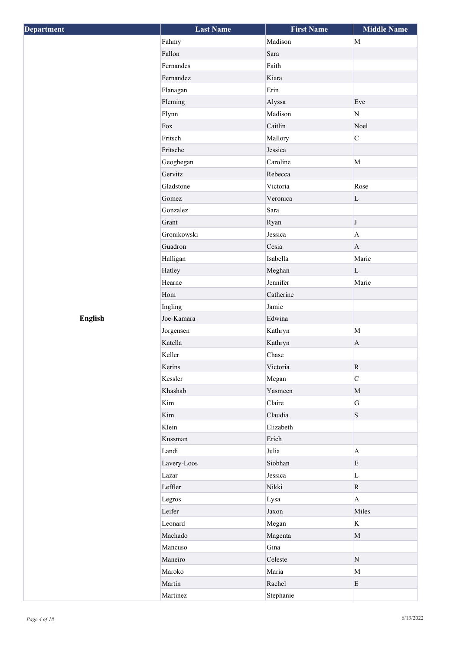| <b>Department</b> | <b>Last Name</b> | <b>First Name</b> | <b>Middle Name</b> |
|-------------------|------------------|-------------------|--------------------|
|                   | Fahmy            | Madison           | $\mathbf M$        |
|                   | Fallon           | Sara              |                    |
|                   | Fernandes        | Faith             |                    |
|                   | Fernandez        | Kiara             |                    |
|                   | Flanagan         | Erin              |                    |
|                   | Fleming          | Alyssa            | Eve                |
|                   | Flynn            | Madison           | $\mathbf N$        |
|                   | Fox              | Caitlin           | Noel               |
|                   | Fritsch          | Mallory           | $\mathsf{C}$       |
|                   | Fritsche         | Jessica           |                    |
|                   | Geoghegan        | Caroline          | $\mathbf M$        |
|                   | Gervitz          | Rebecca           |                    |
|                   | Gladstone        | Victoria          | Rose               |
|                   | Gomez            | Veronica          | $\mathbf L$        |
|                   | Gonzalez         | Sara              |                    |
|                   | Grant            | Ryan              | $\bf J$            |
|                   | Gronikowski      | Jessica           | $\mathbf{A}$       |
|                   | Guadron          | Cesia             | $\mathbf{A}$       |
|                   | Halligan         | Isabella          | Marie              |
|                   | Hatley           | Meghan            | $\mathbf L$        |
|                   | Hearne           | Jennifer          | Marie              |
|                   | Hom              | Catherine         |                    |
|                   | Ingling          | Jamie             |                    |
| English           | Joe-Kamara       | Edwina            |                    |
|                   | Jorgensen        | Kathryn           | M                  |
|                   | Katella          | Kathryn           | $\mathbf{A}$       |
|                   | Keller           | Chase             |                    |
|                   | Kerins           | Victoria          | ${\bf R}$          |
|                   | Kessler          | Megan             | $\mathsf C$        |
|                   | Khashab          | Yasmeen           | $\mathbf{M}$       |
|                   | Kim              | Claire            | ${\bf G}$          |
|                   | Kim              | Claudia           | $\, {\bf S} \,$    |
|                   | Klein            | Elizabeth         |                    |
|                   | Kussman          | Erich             |                    |
|                   | Landi            | Julia             | $\mathbf{A}$       |
|                   | Lavery-Loos      | Siobhan           | E                  |
|                   | Lazar            | Jessica           | $\mathbf L$        |
|                   | Leffler          | Nikki             | ${\bf R}$          |
|                   | Legros           | Lysa              | $\overline{A}$     |
|                   | Leifer           | Jaxon             | Miles              |
|                   | Leonard          | Megan             | $\mathbf K$        |
|                   | Machado          | Magenta           | $\mathbf{M}$       |
|                   | Mancuso          | Gina              |                    |
|                   | Maneiro          | Celeste           | $\mathbf N$        |
|                   | Maroko           | Maria             | $\mathbf{M}$       |
|                   | Martin           | Rachel            | E                  |
|                   | Martinez         | Stephanie         |                    |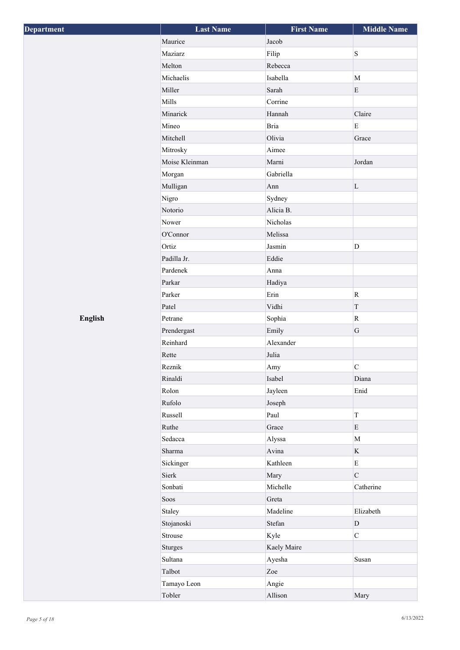| Department | <b>Last Name</b> | <b>First Name</b> | <b>Middle Name</b> |
|------------|------------------|-------------------|--------------------|
|            | Maurice          | Jacob             |                    |
|            | Maziarz          | Filip             | $\mathbf S$        |
|            | Melton           | Rebecca           |                    |
|            | Michaelis        | Isabella          | M                  |
|            | Miller           | Sarah             | E                  |
|            | Mills            | Corrine           |                    |
|            | Minarick         | Hannah            | Claire             |
|            | Mineo            | Bria              | ${\bf E}$          |
|            | Mitchell         | Olivia            | Grace              |
|            | Mitrosky         | Aimee             |                    |
|            | Moise Kleinman   | Marni             | Jordan             |
|            | Morgan           | Gabriella         |                    |
|            | Mulligan         | Ann               | $\mathbf L$        |
|            | Nigro            | Sydney            |                    |
|            | Notorio          | Alicia B.         |                    |
|            | Nower            | Nicholas          |                    |
|            | O'Connor         | Melissa           |                    |
|            | Ortiz            | Jasmin            | $\mathbf D$        |
|            | Padilla Jr.      | Eddie             |                    |
|            | Pardenek         | Anna              |                    |
|            | Parkar           | Hadiya            |                    |
|            | Parker           | Erin              | ${\bf R}$          |
|            | Patel            | Vidhi             | T                  |
| English    | Petrane          | Sophia            | ${\bf R}$          |
|            | Prendergast      | Emily             | ${\bf G}$          |
|            | Reinhard         | Alexander         |                    |
|            | Rette            | Julia             |                    |
|            | Reznik           | Amy               | $\mathbf C$        |
|            | Rinaldi          | Isabel            | Diana              |
|            | Rolon            | Jayleen           | Enid               |
|            | Rufolo           | Joseph            |                    |
|            | Russell          | Paul              | $\overline{T}$     |
|            | Ruthe            | Grace             | E                  |
|            | Sedacca          | Alyssa            | $\mathbf{M}$       |
|            | Sharma           | Avina             | $\rm K$            |
|            | Sickinger        | Kathleen          | $\mathbf E$        |
|            | Sierk            | Mary              | $\mathbf C$        |
|            | Sonbati          | Michelle          | Catherine          |
|            | Soos             | Greta             |                    |
|            | Staley           | Madeline          | Elizabeth          |
|            | Stojanoski       | Stefan            | $\mathbf D$        |
|            | Strouse          | Kyle              | $\mathbf C$        |
|            | <b>Sturges</b>   | Kaely Maire       |                    |
|            | Sultana          | Ayesha            | Susan              |
|            | Talbot           | Zoe               |                    |
|            | Tamayo Leon      | Angie             |                    |
|            | Tobler           | Allison           | Mary               |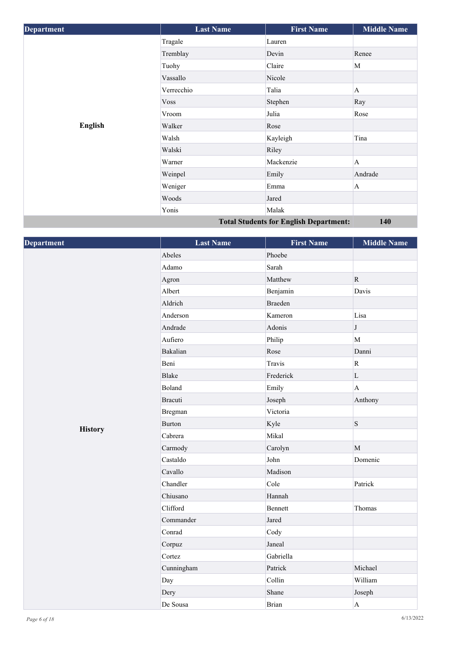| <b>Department</b> | <b>Last Name</b> | <b>First Name</b>                             | <b>Middle Name</b> |
|-------------------|------------------|-----------------------------------------------|--------------------|
|                   | Tragale          | Lauren                                        |                    |
|                   | Tremblay         | Devin                                         | Renee              |
|                   | Tuohy            | Claire                                        | M                  |
|                   | Vassallo         | Nicole                                        |                    |
|                   | Verrecchio       | Talia                                         | A                  |
|                   | <b>Voss</b>      | Stephen                                       | Ray                |
|                   | Vroom            | Julia                                         | Rose               |
| English           | Walker           | Rose                                          |                    |
|                   | Walsh            | Kayleigh                                      | Tina               |
|                   | Walski           | Riley                                         |                    |
|                   | Warner           | Mackenzie                                     | A                  |
|                   | Weinpel          | Emily                                         | Andrade            |
|                   | Weniger          | Emma                                          | A                  |
|                   | Woods            | Jared                                         |                    |
|                   | Yonis            | Malak                                         |                    |
|                   |                  | <b>Total Students for English Department:</b> | 140                |

**Total Students for English Department:** 

| п<br>- 1 |
|----------|
|          |

| Department     | <b>Last Name</b> | <b>First Name</b> | <b>Middle Name</b>    |
|----------------|------------------|-------------------|-----------------------|
|                | Abeles           | Phoebe            |                       |
|                | Adamo            | Sarah             |                       |
|                | Agron            | Matthew           | $\mathbf R$           |
|                | Albert           | Benjamin          | Davis                 |
|                | Aldrich          | <b>Braeden</b>    |                       |
|                | Anderson         | Kameron           | Lisa                  |
|                | Andrade          | Adonis            | J                     |
|                | Aufiero          | Philip            | M                     |
|                | Bakalian         | Rose              | Danni                 |
|                | Beni             | Travis            | $\mathbf R$           |
|                | Blake            | Frederick         | $\mathbf{L}$          |
|                | Boland           | Emily             | $\overline{A}$        |
|                | <b>Bracuti</b>   | Joseph            | Anthony               |
|                | <b>Bregman</b>   | Victoria          |                       |
| <b>History</b> | <b>Burton</b>    | Kyle              | $\, {\bf S}$          |
|                | Cabrera          | Mikal             |                       |
|                | Carmody          | Carolyn           | $\mathbf{M}$          |
|                | Castaldo         | John              | Domenic               |
|                | Cavallo          | Madison           |                       |
|                | Chandler         | Cole              | Patrick               |
|                | Chiusano         | Hannah            |                       |
|                | Clifford         | Bennett           | Thomas                |
|                | Commander        | Jared             |                       |
|                | Conrad           | Cody              |                       |
|                | Corpuz           | Janeal            |                       |
|                | Cortez           | Gabriella         |                       |
|                | Cunningham       | Patrick           | Michael               |
|                | Day              | Collin            | William               |
|                | Dery             | Shane             | Joseph                |
|                | De Sousa         | <b>Brian</b>      | $\boldsymbol{\rm{A}}$ |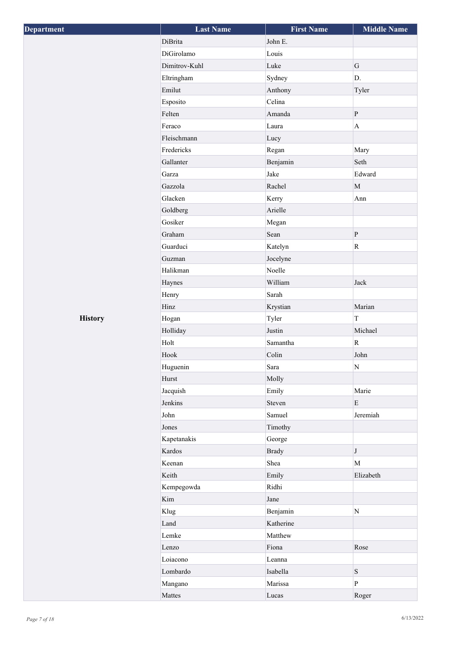| Department     | <b>Last Name</b> | <b>First Name</b> | <b>Middle Name</b>           |
|----------------|------------------|-------------------|------------------------------|
|                | DiBrita          | John E.           |                              |
|                | DiGirolamo       | Louis             |                              |
|                | Dimitrov-Kuhl    | Luke              | G                            |
|                | Eltringham       | Sydney            | D.                           |
|                | Emilut           | Anthony           | Tyler                        |
|                | Esposito         | Celina            |                              |
|                | Felten           | Amanda            | $\, {\bf p}$                 |
|                | Feraco           | Laura             | $\boldsymbol{\mathsf{A}}$    |
|                | Fleischmann      | Lucy              |                              |
|                | Fredericks       | Regan             | Mary                         |
|                | Gallanter        | Benjamin          | Seth                         |
|                | Garza            | Jake              | Edward                       |
|                | Gazzola          | Rachel            | $\mathbf M$                  |
|                | Glacken          | Kerry             | Ann                          |
|                | Goldberg         | Arielle           |                              |
|                | Gosiker          | Megan             |                              |
|                | Graham           | Sean              | $\, {\bf p}$                 |
|                | Guarduci         | Katelyn           | ${\bf R}$                    |
|                | Guzman           | Jocelyne          |                              |
|                | Halikman         | Noelle            |                              |
|                | Haynes           | William           | Jack                         |
|                | Henry            | Sarah             |                              |
|                | Hinz             | Krystian          | Marian                       |
| <b>History</b> | Hogan            | Tyler             | $\mathbf T$                  |
|                | Holliday         | Justin            | Michael                      |
|                | Holt             | Samantha          | $\mathbf R$                  |
|                | Hook             | Colin             | John                         |
|                | Huguenin         | Sara              | $\mathbf N$                  |
|                | Hurst            | Molly             |                              |
|                | Jacquish         | Emily             | Marie                        |
|                | Jenkins          | Steven            | $\mathbf E$                  |
|                | John             | Samuel            | Jeremiah                     |
|                | Jones            | Timothy           |                              |
|                | Kapetanakis      | George            |                              |
|                | Kardos           | <b>Brady</b>      | $\bf J$                      |
|                | Keenan           | Shea              | $\mathbf{M}$                 |
|                | Keith            | Emily             | Elizabeth                    |
|                | Kempegowda       | Ridhi             |                              |
|                | Kim              | Jane              |                              |
|                | Klug             | Benjamin          | $\mathbf N$                  |
|                | Land             | Katherine         |                              |
|                |                  |                   |                              |
|                | Lemke            | Matthew<br>Fiona  | Rose                         |
|                | Lenzo            |                   |                              |
|                | Loiacono         | Leanna            |                              |
|                | Lombardo         | Isabella          | $\, {\bf S}$<br>$\mathbf{P}$ |
|                | Mangano          | Marissa           |                              |
|                | Mattes           | Lucas             | Roger                        |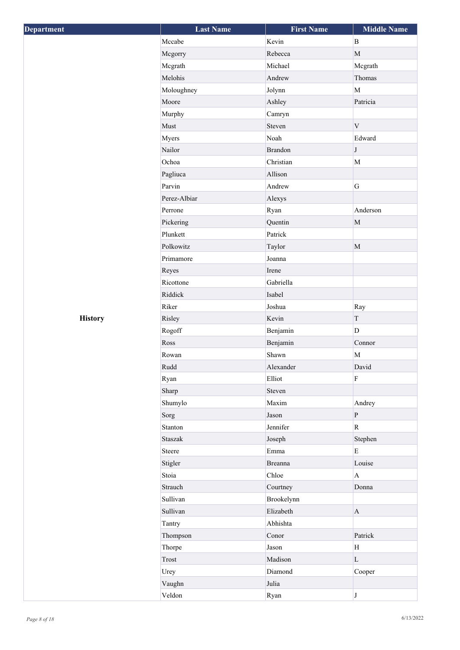| <b>Department</b> | <b>Last Name</b> | <b>First Name</b> | <b>Middle Name</b> |
|-------------------|------------------|-------------------|--------------------|
|                   | Mccabe           | Kevin             | $\mathbf B$        |
|                   | Mcgorry          | Rebecca           | $\mathbf{M}$       |
|                   | Mcgrath          | Michael           | Mcgrath            |
|                   | Melohis          | Andrew            | Thomas             |
|                   | Moloughney       | Jolynn            | M                  |
|                   | Moore            | Ashley            | Patricia           |
|                   | Murphy           | Camryn            |                    |
|                   | Must             | Steven            | $\mathbf V$        |
|                   | Myers            | Noah              | Edward             |
|                   | Nailor           | <b>Brandon</b>    | J                  |
|                   | Ochoa            | Christian         | M                  |
|                   | Pagliuca         | Allison           |                    |
|                   | Parvin           | Andrew            | ${\bf G}$          |
|                   | Perez-Albiar     | Alexys            |                    |
|                   | Perrone          | Ryan              | Anderson           |
|                   | Pickering        | Quentin           | $\mathbf M$        |
|                   | Plunkett         | Patrick           |                    |
|                   | Polkowitz        | Taylor            | $\mathbf M$        |
|                   | Primamore        | Joanna            |                    |
|                   | Reyes            | Irene             |                    |
|                   | Ricottone        | Gabriella         |                    |
|                   | Riddick          | Isabel            |                    |
|                   | Riker            | Joshua            | Ray                |
| <b>History</b>    | Risley           | Kevin             | $\mathcal T$       |
|                   | Rogoff           | Benjamin          | D                  |
|                   | Ross             | Benjamin          | Connor             |
|                   | Rowan            | Shawn             | $\mathbf M$        |
|                   | Rudd             | Alexander         | David              |
|                   | Ryan             | Elliot            | ${\bf F}$          |
|                   | Sharp            | Steven            |                    |
|                   | Shumylo          | Maxim             | Andrey             |
|                   | Sorg             | Jason             | $\mathbf{P}$       |
|                   | Stanton          | Jennifer          | $\mathbf R$        |
|                   | Staszak          | Joseph            | Stephen            |
|                   | Steere           | Emma              | E                  |
|                   | Stigler          | <b>Breanna</b>    | Louise             |
|                   | Stoia            | Chloe             | $\mathbf{A}$       |
|                   | Strauch          | Courtney          | Donna              |
|                   | Sullivan         | Brookelynn        |                    |
|                   | Sullivan         | Elizabeth         | $\mathbf{A}$       |
|                   | Tantry           | Abhishta          |                    |
|                   | Thompson         | Conor             | Patrick            |
|                   | Thorpe           | Jason             | H                  |
|                   | Trost            | Madison           | $\mathbf L$        |
|                   | Urey             | Diamond           | Cooper             |
|                   | Vaughn           | Julia             |                    |
|                   | Veldon           | Ryan              | J                  |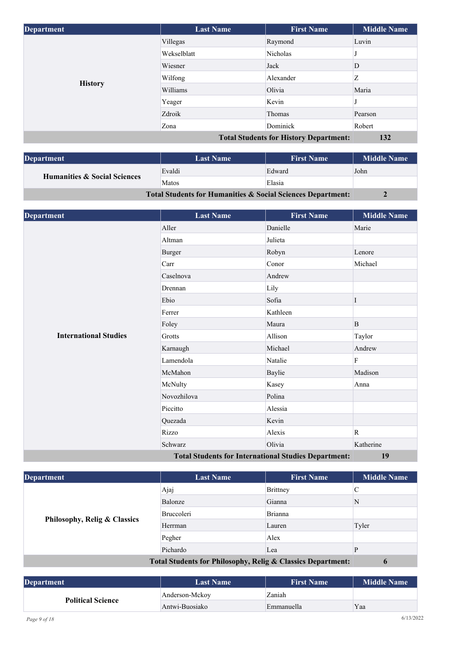| <b>Department</b>                             | <b>Last Name</b> | <b>First Name</b> | <b>Middle Name</b> |
|-----------------------------------------------|------------------|-------------------|--------------------|
|                                               | Villegas         | Raymond           | Luvin              |
|                                               | Wekselblatt      | Nicholas          |                    |
|                                               | Wiesner          | Jack              | D                  |
| <b>History</b>                                | Wilfong          | Alexander         | Z                  |
|                                               | Williams         | Olivia            | Maria              |
|                                               | Yeager           | Kevin             |                    |
|                                               | Zdroik           | Thomas            | Pearson            |
|                                               | Zona             | Dominick          | Robert             |
| <b>Total Students for History Department:</b> |                  |                   | 132                |

| <b>Department</b>                                           | <b>Last Name</b> | <b>First Name</b> | <b>Middle Name</b> |
|-------------------------------------------------------------|------------------|-------------------|--------------------|
| <b>Humanities &amp; Social Sciences</b>                     | Evaldi           | Edward            | John               |
|                                                             | Matos            | Elasia            |                    |
| Total Students for Humanities & Social Sciences Department: |                  |                   |                    |

| <b>Department</b>                                           | <b>Last Name</b> | <b>First Name</b> | <b>Middle Name</b> |
|-------------------------------------------------------------|------------------|-------------------|--------------------|
|                                                             | Aller            | Danielle          | Marie              |
|                                                             | Altman           | Julieta           |                    |
|                                                             | <b>Burger</b>    | Robyn             | Lenore             |
|                                                             | Carr             | Conor             | Michael            |
|                                                             | Caselnova        | Andrew            |                    |
|                                                             | Drennan          | Lily              |                    |
|                                                             | Ebio             | Sofia             |                    |
|                                                             | Ferrer           | Kathleen          |                    |
|                                                             | Foley            | Maura             | B                  |
| <b>International Studies</b>                                | Grotts           | Allison           | Taylor             |
|                                                             | Karnaugh         | Michael           | Andrew             |
|                                                             | Lamendola        | Natalie           | $\mathbf{F}$       |
|                                                             | McMahon          | Baylie            | Madison            |
|                                                             | McNulty          | Kasey             | Anna               |
|                                                             | Novozhilova      | Polina            |                    |
|                                                             | Piccitto         | Alessia           |                    |
|                                                             | Quezada          | Kevin             |                    |
|                                                             | Rizzo            | Alexis            | $\mathbf R$        |
|                                                             | Schwarz          | Olivia            | Katherine          |
| <b>Total Students for International Studies Department:</b> |                  |                   | 19                 |

| <b>Department</b>                                           | <b>Last Name</b>  | <b>First Name</b> | <b>Middle Name</b> |
|-------------------------------------------------------------|-------------------|-------------------|--------------------|
| Philosophy, Relig & Classics                                | Ajaj              | <b>Brittney</b>   | ◡                  |
|                                                             | Balonze           | Gianna            | N                  |
|                                                             | <b>Bruccoleri</b> | <b>Brianna</b>    |                    |
|                                                             | Herrman           | Lauren            | Tyler              |
|                                                             | Pegher            | Alex              |                    |
|                                                             | Pichardo          | Lea               | D                  |
| Total Students for Philosophy, Relig & Classics Department: |                   |                   | $\mathbf b$        |

| <b>Department</b>        | <b>Last Name</b> | <b>First Name</b> | <b>Middle Name</b> |
|--------------------------|------------------|-------------------|--------------------|
| <b>Political Science</b> | Anderson-Mckoy   | Zaniah            |                    |
|                          | Antwi-Buosiako   | Emmanuella        | Yaa                |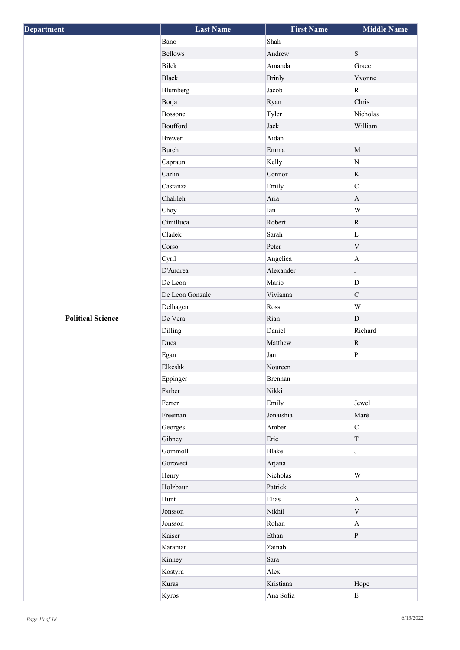| <b>Department</b>        | <b>Last Name</b> | <b>First Name</b> | <b>Middle Name</b>    |
|--------------------------|------------------|-------------------|-----------------------|
|                          | Bano             | Shah              |                       |
|                          | <b>Bellows</b>   | Andrew            | $\, {\bf S}$          |
|                          | Bilek            | Amanda            | Grace                 |
|                          | Black            | <b>Brinly</b>     | Yvonne                |
|                          | Blumberg         | Jacob             | $\bf R$               |
|                          | Borja            | Ryan              | Chris                 |
|                          | <b>Bossone</b>   | Tyler             | Nicholas              |
|                          | Boufford         | Jack              | William               |
|                          | <b>Brewer</b>    | Aidan             |                       |
|                          | <b>Burch</b>     | ${\rm Emma}$      | $\mathbf{M}$          |
|                          | Capraun          | Kelly             | $\mathbf N$           |
|                          | Carlin           | Connor            | $\bf K$               |
|                          | Castanza         | Emily             | $\mathsf{C}$          |
|                          | Chalileh         | Aria              | $\mathbf{A}$          |
|                          | Choy             | Ian               | W                     |
|                          | Cimilluca        | Robert            | $\mathbf R$           |
|                          | Cladek           | Sarah             | $\mathbf L$           |
|                          | Corso            | Peter             | $\mathbf V$           |
|                          | Cyril            | Angelica          | $\boldsymbol{\rm{A}}$ |
|                          | D'Andrea         | Alexander         | $\bf J$               |
|                          | De Leon          | Mario             | D                     |
|                          | De Leon Gonzale  | Vivianna          | $\mathbf C$           |
|                          | Delhagen         | Ross              | $\mathbf W$           |
| <b>Political Science</b> | De Vera          | Rian              | D                     |
|                          | Dilling          | Daniel            | Richard               |
|                          | Duca             | Matthew           | $\mathbf R$           |
|                          | Egan             | ${\rm Jan}$       | $\, {\bf P}$          |
|                          | Elkeshk          | Noureen           |                       |
|                          | Eppinger         | Brennan           |                       |
|                          | Farber           | Nikki             |                       |
|                          | Ferrer           | Emily             | Jewel                 |
|                          | Freeman          | Jonaishia         | Maré                  |
|                          | Georges          | Amber             | $\mathbf C$           |
|                          | Gibney           | Eric              | $\mathcal T$          |
|                          | Gommoll          | Blake             | J                     |
|                          | Goroveci         | Arjana            |                       |
|                          | Henry            | Nicholas          | $\mathbf W$           |
|                          | Holzbaur         | Patrick           |                       |
|                          | Hunt             | Elias             | $\mathbf A$           |
|                          | Jonsson          | Nikhil            | $\mathbf V$           |
|                          | Jonsson          | Rohan             | $\mathbf A$           |
|                          | Kaiser           | Ethan             | $\, {\bf p}$          |
|                          | Karamat          | Zainab            |                       |
|                          | Kinney           | Sara              |                       |
|                          | Kostyra          | Alex              |                       |
|                          | Kuras            | Kristiana         | Hope                  |
|                          | Kyros            | Ana Sofia         | $\mathbf E$           |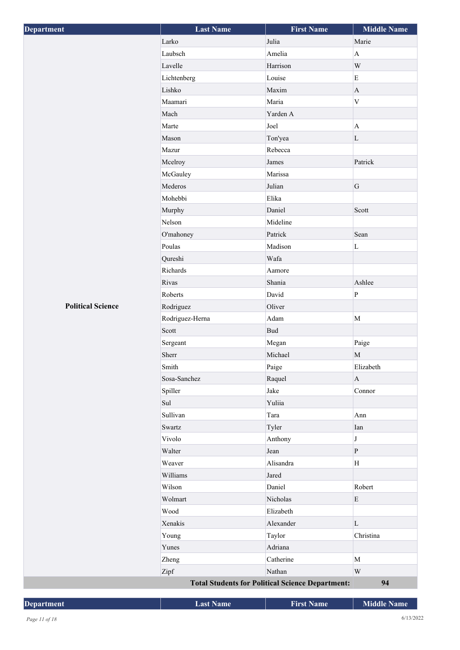| <b>Department</b>        | <b>Last Name</b> | <b>First Name</b>                                       | <b>Middle Name</b>       |
|--------------------------|------------------|---------------------------------------------------------|--------------------------|
|                          | Larko            | Julia                                                   | Marie                    |
|                          | Laubsch          | Amelia                                                  | $\mathbf{A}$             |
|                          | Lavelle          | Harrison                                                | $\ensuremath{\text{W}}$  |
|                          | Lichtenberg      | Louise                                                  | ${\bf E}$                |
|                          | Lishko           | Maxim                                                   | $\mathbf{A}$             |
|                          | Maamari          | Maria                                                   | $\mathbf V$              |
|                          | Mach             | Yarden A                                                |                          |
|                          | Marte            | Joel                                                    | $\mathbf A$              |
|                          | Mason            | Ton'yea                                                 | $\mathbf L$              |
|                          | Mazur            | Rebecca                                                 |                          |
|                          | Mcelroy          | James                                                   | Patrick                  |
|                          | McGauley         | Marissa                                                 |                          |
|                          | Mederos          | Julian                                                  | ${\bf G}$                |
|                          | Mohebbi          | Elika                                                   |                          |
|                          | Murphy           | Daniel                                                  | Scott                    |
|                          | Nelson           | Mideline                                                |                          |
|                          | O'mahoney        | Patrick                                                 | Sean                     |
|                          | Poulas           | Madison                                                 | L                        |
|                          | Qureshi          | Wafa                                                    |                          |
|                          | Richards         | Aamore                                                  |                          |
|                          | Rivas            | Shania                                                  | Ashlee                   |
|                          | Roberts          | David                                                   | ${\bf P}$                |
| <b>Political Science</b> | Rodriguez        | Oliver                                                  |                          |
|                          | Rodriguez-Herna  | Adam                                                    | $\mathbf M$              |
|                          | Scott            | <b>Bud</b>                                              |                          |
|                          | Sergeant         | Megan                                                   | Paige                    |
|                          | Sherr<br>Smith   | Michael<br>Paige                                        | $\mathbf M$<br>Elizabeth |
|                          | Sosa-Sanchez     | Raquel                                                  | $\mathbf{A}$             |
|                          | Spiller          | Jake                                                    | Connor                   |
|                          | Sul              | Yuliia                                                  |                          |
|                          | Sullivan         | Tara                                                    | Ann                      |
|                          | Swartz           | Tyler                                                   | Ian                      |
|                          | Vivolo           | Anthony                                                 | $\bf J$                  |
|                          | Walter           | Jean                                                    | ${\bf P}$                |
|                          | Weaver           | Alisandra                                               | $\rm H$                  |
|                          | Williams         | Jared                                                   |                          |
|                          | Wilson           | Daniel                                                  | Robert                   |
|                          | Wolmart          | Nicholas                                                | ${\bf E}$                |
|                          | Wood             | Elizabeth                                               |                          |
|                          | Xenakis          | Alexander                                               | L                        |
|                          | Young            | Taylor                                                  | Christina                |
|                          | Yunes            | Adriana                                                 |                          |
|                          | Zheng            | Catherine                                               | $\mathbf M$              |
|                          | Zipf             | Nathan                                                  | W                        |
|                          |                  | <b>Total Students for Political Science Department:</b> | 94                       |

**Department Last Name First Name Here Middle Name Middle Name**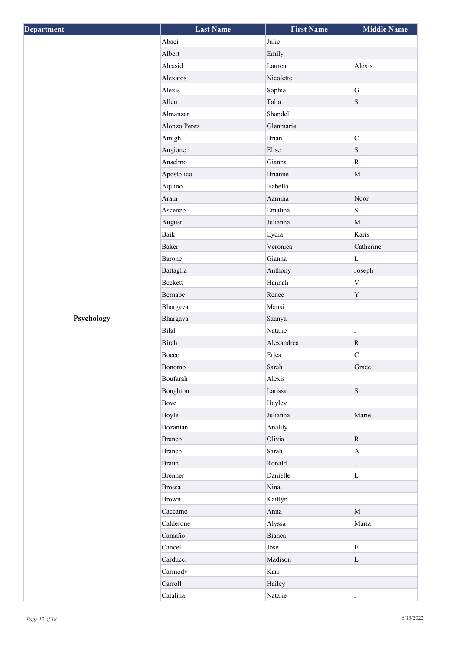| <b>Department</b> | <b>Last Name</b> | <b>First Name</b> | <b>Middle Name</b> |
|-------------------|------------------|-------------------|--------------------|
|                   | Abaci            | Julie             |                    |
|                   | Albert           | Emily             |                    |
|                   | Alcasid          | Lauren            | Alexis             |
|                   | Alexatos         | Nicolette         |                    |
|                   | Alexis           | Sophia            | G                  |
|                   | Allen            | Talia             | ${\bf S}$          |
|                   | Almanzar         | Shandell          |                    |
|                   | Alonzo Perez     | Glenmarie         |                    |
|                   | Amigh            | <b>Brian</b>      | $\mathbf C$        |
|                   | Angione          | Elise             | $\, {\bf S}$       |
|                   | Anselmo          | Gianna            | ${\bf R}$          |
|                   | Apostolico       | <b>Brianne</b>    | $\mathbf M$        |
|                   | Aquino           | Isabella          |                    |
|                   | Arain            | Aamina            | Noor               |
|                   | Ascenzo          | Emalina           | $\mathbf S$        |
|                   | August           | Julianna          | $\mathbf{M}$       |
|                   | Baik             | Lydia             | Karis              |
|                   | <b>Baker</b>     | Veronica          | Catherine          |
|                   | Barone           | Gianna            | L                  |
|                   | Battaglia        | Anthony           | Joseph             |
|                   | Beckett          | Hannah            | $\mathbf V$        |
|                   | Bernabe          | Renee             | $\mathbf Y$        |
|                   | Bhargava         | Mansi             |                    |
| Psychology        | Bhargava         | Saanya            |                    |
|                   | Bilal            | Natalie           | $\bf J$            |
|                   | Birch            | Alexandrea        | $\mathbf R$        |
|                   | Bocco            | Erica             | $\mathbf C$        |
|                   | Bonomo           | Sarah             | Grace              |
|                   | Boufarah         | Alexis            |                    |
|                   | Boughton         | Larissa           | $\, {\bf S}$       |
|                   | Bove             | Hayley            |                    |
|                   | Boyle            | Julianna          | Marie              |
|                   | Bozanian         | Analily           |                    |
|                   | <b>Branco</b>    | Olivia            | $\mathbf R$        |
|                   | <b>Branco</b>    | Sarah             | $\mathbf A$        |
|                   | Braun            | Ronald            | $\bf J$            |
|                   | Brenner          | Danielle          | $\mathbf L$        |
|                   | <b>Brossa</b>    | Nina              |                    |
|                   | <b>Brown</b>     | Kaitlyn           |                    |
|                   | Caccamo          | Anna              | $\mathbf{M}$       |
|                   | Calderone        | Alyssa            | Maria              |
|                   | Camaño           | Bianca            |                    |
|                   | Cancel           | Jose              | ${\bf E}$          |
|                   | Carducci         | Madison           | $\mathbf L$        |
|                   | Carmody          | Kari              |                    |
|                   | Carroll          | Hailey            |                    |
|                   | Catalina         | Natalie           | $\bf J$            |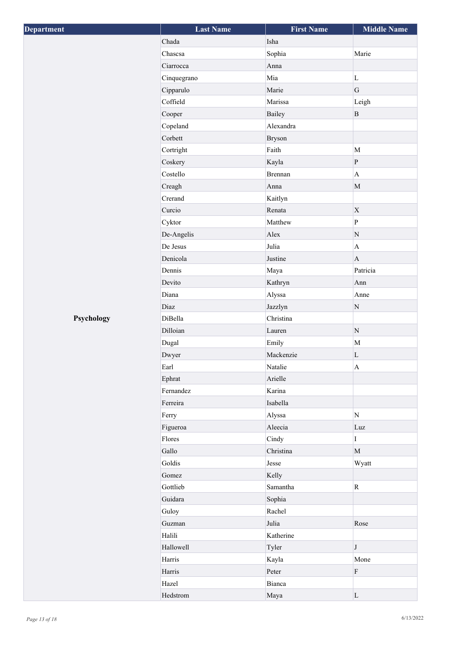| Department | <b>Last Name</b> | <b>First Name</b> | <b>Middle Name</b>        |
|------------|------------------|-------------------|---------------------------|
|            | Chada            | Isha              |                           |
|            | Chascsa          | Sophia            | Marie                     |
|            | Ciarrocca        | Anna              |                           |
|            | Cinquegrano      | Mia               | $\mathbf L$               |
|            | Cipparulo        | Marie             | G                         |
|            | Coffield         | Marissa           | Leigh                     |
|            | Cooper           | Bailey            | $\, {\bf B}$              |
|            | Copeland         | Alexandra         |                           |
|            | Corbett          | <b>Bryson</b>     |                           |
|            | Cortright        | Faith             | M                         |
|            | Coskery          | Kayla             | $\, {\bf p}$              |
|            | Costello         | Brennan           | $\mathbf{A}$              |
|            | Creagh           | Anna              | $\mathbf M$               |
|            | Crerand          | Kaitlyn           |                           |
|            | Curcio           | Renata            | $\boldsymbol{\mathrm{X}}$ |
|            | Cyktor           | Matthew           | $\, {\bf p}$              |
|            | De-Angelis       | Alex              | ${\bf N}$                 |
|            | De Jesus         | Julia             | $\boldsymbol{\rm{A}}$     |
|            | Denicola         | Justine           | $\mathbf{A}$              |
|            | Dennis           | Maya              | Patricia                  |
|            | Devito           | Kathryn           | Ann                       |
|            | Diana            | Alyssa            | Anne                      |
|            | Diaz             | Jazzlyn           | ${\bf N}$                 |
| Psychology | DiBella          | Christina         |                           |
|            | Dilloian         | Lauren            | $\mathbf N$               |
|            | Dugal            | Emily             | $\mathbf{M}$              |
|            | Dwyer            | Mackenzie         | $\mathbf L$               |
|            | Earl             | Natalie           | $\boldsymbol{\mathsf{A}}$ |
|            | Ephrat           | Arielle           |                           |
|            | Fernandez        | Karina            |                           |
|            | Ferreira         | Isabella          |                           |
|            | Ferry            | Alyssa            | $\mathbf N$               |
|            | Figueroa         | Aleecia           | Luz                       |
|            | Flores           | Cindy             | $\mathbf I$               |
|            | Gallo            | Christina         | $\mathbf{M}$              |
|            | Goldis           | Jesse             | Wyatt                     |
|            | Gomez            | Kelly             |                           |
|            | Gottlieb         | Samantha          | $\mathbf R$               |
|            | Guidara          | Sophia            |                           |
|            | Guloy            | Rachel            |                           |
|            | Guzman           | Julia             | Rose                      |
|            | Halili           | Katherine         |                           |
|            | Hallowell        | Tyler             | J                         |
|            | Harris           | Kayla             | Mone                      |
|            | Harris           | Peter             | ${\bf F}$                 |
|            | Hazel            | Bianca            |                           |
|            | Hedstrom         | Maya              | $\mathbf L$               |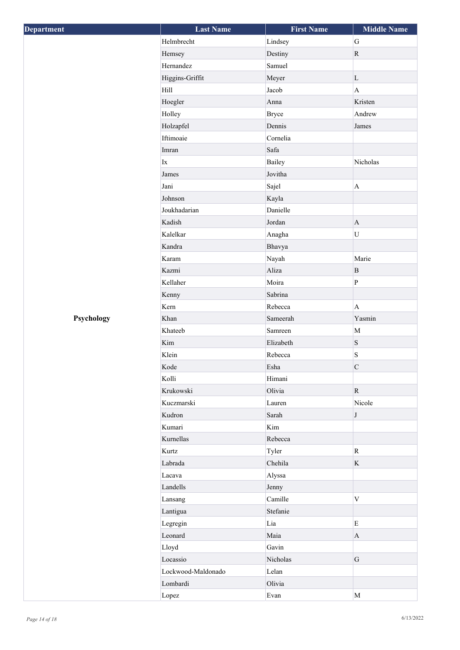| <b>Department</b> | <b>Last Name</b>       | <b>First Name</b>          | <b>Middle Name</b> |
|-------------------|------------------------|----------------------------|--------------------|
|                   | Helmbrecht             | Lindsey                    | ${\bf G}$          |
|                   | Hemsey                 | Destiny                    | $\mathbf R$        |
|                   | Hernandez              | Samuel                     |                    |
|                   | Higgins-Griffit        | Meyer                      | $\mathbf L$        |
|                   | Hill                   | Jacob                      | $\mathbf{A}$       |
|                   | Hoegler                | Anna                       | Kristen            |
|                   | Holley                 | <b>Bryce</b>               | Andrew             |
|                   | Holzapfel              | Dennis                     | James              |
|                   | Iftimoaie              | Cornelia                   |                    |
|                   | Imran                  | Safa                       |                    |
|                   | $\mathbf{I}\mathbf{x}$ | Bailey                     | Nicholas           |
|                   | James                  | Jovitha                    |                    |
|                   | Jani                   | Sajel                      | $\mathbf A$        |
|                   | Johnson                | Kayla                      |                    |
|                   | Joukhadarian           | Danielle                   |                    |
|                   | Kadish                 | Jordan                     | $\mathbf{A}$       |
|                   | Kalelkar               | Anagha                     | U                  |
|                   | Kandra                 | Bhavya                     |                    |
|                   | Karam                  | Nayah                      | Marie              |
|                   | Kazmi                  | Aliza                      | $\mathbf B$        |
|                   | Kellaher               | Moira                      | ${\bf P}$          |
|                   | Kenny                  | Sabrina                    |                    |
|                   | Kern                   | Rebecca                    | $\mathbf A$        |
| Psychology        | Khan                   | Sameerah                   | Yasmin             |
|                   | Khateeb                | Samreen                    | $\mathbf M$        |
|                   | Kim                    | Elizabeth                  | $\mathbf S$        |
|                   | Klein                  | Rebecca                    | S                  |
|                   | Kode                   | Esha                       | $\mathbf C$        |
|                   | Kolli                  | Himani                     |                    |
|                   | Krukowski              | Olivia                     | $\mathbf R$        |
|                   | Kuczmarski             | Lauren                     | Nicole             |
|                   | Kudron                 | Sarah                      | $\bf J$            |
|                   | Kumari                 | Kim                        |                    |
|                   | Kurnellas              | Rebecca                    |                    |
|                   | Kurtz                  | Tyler                      | $\mathbf R$        |
|                   | Labrada                | Chehila                    | $\rm K$            |
|                   | Lacava                 | Alyssa                     |                    |
|                   | Landells               | Jenny                      |                    |
|                   | Lansang                | Camille                    | $\bar{V}$          |
|                   | Lantigua               | Stefanie                   |                    |
|                   | Legregin               | Lia                        | ${\bf E}$          |
|                   | Leonard                | Maia                       | $\mathbf A$        |
|                   | Lloyd                  | Gavin                      |                    |
|                   | Locassio               | Nicholas                   | ${\bf G}$          |
|                   | Lockwood-Maldonado     | Lelan                      |                    |
|                   | Lombardi               | Olivia                     |                    |
|                   | Lopez                  | $\ensuremath{\text{Evan}}$ | $\mathbf M$        |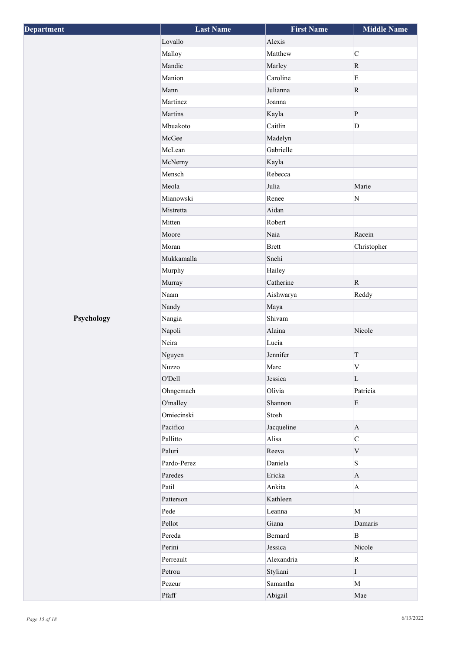| Department | <b>Last Name</b> | <b>First Name</b> | <b>Middle Name</b>        |
|------------|------------------|-------------------|---------------------------|
|            | Lovallo          | Alexis            |                           |
|            | Malloy           | Matthew           | $\overline{C}$            |
|            | Mandic           | Marley            | $\mathbf R$               |
|            | Manion           | Caroline          | E                         |
|            | Mann             | Julianna          | $\mathbf R$               |
|            | Martinez         | Joanna            |                           |
|            | Martins          | Kayla             | $\mathbf{P}$              |
|            | Mbuakoto         | Caitlin           | $\mathbf{D}$              |
|            | McGee            | Madelyn           |                           |
|            | McLean           | Gabrielle         |                           |
|            | McNerny          | Kayla             |                           |
|            | Mensch           | Rebecca           |                           |
|            | Meola            | Julia             | Marie                     |
|            | Mianowski        | Renee             | ${\bf N}$                 |
|            | Mistretta        | Aidan             |                           |
|            | Mitten           | Robert            |                           |
|            | Moore            | Naia              | Racein                    |
|            | Moran            | <b>Brett</b>      | Christopher               |
|            | Mukkamalla       | Snehi             |                           |
|            | Murphy           | Hailey            |                           |
|            | Murray           | Catherine         | $\bf R$                   |
|            | Naam             | Aishwarya         | Reddy                     |
|            | Nandy            | Maya              |                           |
| Psychology | Nangia           | Shivam            |                           |
|            | Napoli           | Alaina            | Nicole                    |
|            | Neira            | Lucia             |                           |
|            | Nguyen           | Jennifer          | T                         |
|            | <b>Nuzzo</b>     | Marc              | $\ensuremath{\mathbf{V}}$ |
|            | O'Dell           | Jessica           | $\mathbf{L}$              |
|            | Ohngemach        | Olivia            | Patricia                  |
|            | O'malley         | Shannon           | $\mathbf E$               |
|            | Omiecinski       | Stosh             |                           |
|            | Pacifico         | Jacqueline        | $\boldsymbol{\mathsf{A}}$ |
|            | Pallitto         | Alisa             | $\mathbf C$               |
|            | Paluri           | Reeva             | $\mathbf V$               |
|            | Pardo-Perez      | Daniela           | $\, {\bf S}$              |
|            | Paredes          | Ericka            | $\mathbf{A}$              |
|            | Patil            | Ankita            | $\mathbf{A}$              |
|            | Patterson        | Kathleen          |                           |
|            | Pede             | Leanna            | $\mathbf{M}$              |
|            | Pellot           | Giana             | Damaris                   |
|            | Pereda           | Bernard           | $\mathbf B$               |
|            | Perini           | Jessica           | Nicole                    |
|            | Perreault        | Alexandria        | ${\bf R}$                 |
|            | Petrou           | Styliani          | $\rm I$                   |
|            | Pezeur           | Samantha          | M                         |
|            | Pfaff            | Abigail           | Mae                       |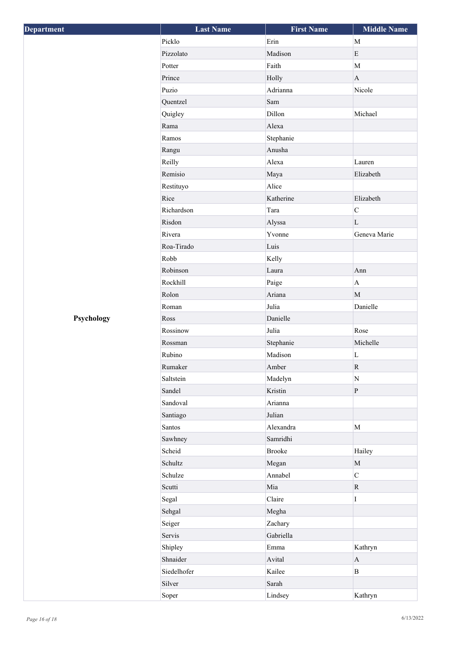| <b>Department</b> | <b>Last Name</b> | <b>First Name</b> | <b>Middle Name</b>        |
|-------------------|------------------|-------------------|---------------------------|
|                   | Picklo           | Erin              | M                         |
|                   | Pizzolato        | Madison           | $\mathbf E$               |
|                   | Potter           | Faith             | $\mathbf M$               |
|                   | Prince           | Holly             | $\mathbf{A}$              |
|                   | Puzio            | Adrianna          | Nicole                    |
|                   | Quentzel         | Sam               |                           |
|                   | Quigley          | Dillon            | Michael                   |
|                   | Rama             | Alexa             |                           |
|                   | Ramos            | Stephanie         |                           |
|                   | Rangu            | Anusha            |                           |
|                   | Reilly           | Alexa             | Lauren                    |
|                   | Remisio          | Maya              | Elizabeth                 |
|                   | Restituyo        | Alice             |                           |
|                   | Rice             | Katherine         | Elizabeth                 |
|                   | Richardson       | Tara              | $\mathbf C$               |
|                   | Risdon           | Alyssa            | $\mathbf L$               |
|                   | Rivera           | Yvonne            | Geneva Marie              |
|                   | Roa-Tirado       | Luis              |                           |
|                   | Robb             | Kelly             |                           |
|                   | Robinson         | Laura             | Ann                       |
|                   | Rockhill         | Paige             | $\boldsymbol{\mathsf{A}}$ |
|                   | Rolon            | Ariana            | $\mathbf{M}$              |
|                   | Roman            | Julia             | Danielle                  |
| Psychology        | Ross             | Danielle          |                           |
|                   | Rossinow         | Julia             | Rose                      |
|                   | Rossman          | Stephanie         | Michelle                  |
|                   | Rubino           | Madison           | $\mathbf L$               |
|                   | Rumaker          | Amber             | ${\bf R}$                 |
|                   | Saltstein        | Madelyn           | ${\bf N}$                 |
|                   | Sandel           | Kristin           | ${\bf P}$                 |
|                   | Sandoval         | Arianna           |                           |
|                   | Santiago         | Julian            |                           |
|                   | Santos           | Alexandra         | $\mathbf M$               |
|                   | Sawhney          | Samridhi          |                           |
|                   | Scheid           | <b>Brooke</b>     | Hailey                    |
|                   | Schultz          | Megan             | $\mathbf{M}$              |
|                   | Schulze          | Annabel           | $\mathbf C$               |
|                   | Scutti           | Mia               | $\mathbf R$               |
|                   | Segal            | Claire            | I                         |
|                   | Sehgal           | Megha             |                           |
|                   | Seiger           | Zachary           |                           |
|                   | Servis           | Gabriella         |                           |
|                   | Shipley          | Emma              | Kathryn                   |
|                   | Shnaider         | Avital            | $\mathbf{A}$              |
|                   | Siedelhofer      | Kailee            | $\, {\bf B}$              |
|                   | Silver           | Sarah             |                           |
|                   | Soper            | Lindsey           | Kathryn                   |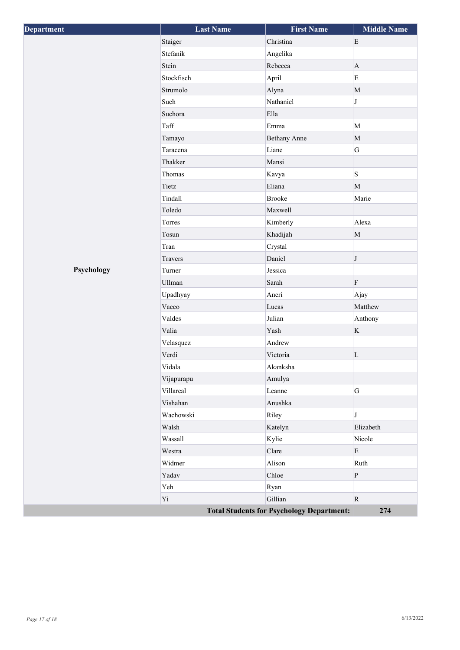| Department                                       | <b>Last Name</b> | <b>First Name</b>   | <b>Middle Name</b> |
|--------------------------------------------------|------------------|---------------------|--------------------|
|                                                  | Staiger          | Christina           | $\mathbf E$        |
|                                                  | Stefanik         | Angelika            |                    |
|                                                  | Stein            | Rebecca             | $\mathbf{A}$       |
|                                                  | Stockfisch       | April               | $\mathbf E$        |
|                                                  | Strumolo         | Alyna               | $\mathbf M$        |
|                                                  | Such             | Nathaniel           | J                  |
|                                                  | Suchora          | Ella                |                    |
|                                                  | Taff             | Emma                | $\mathbf M$        |
|                                                  | Tamayo           | <b>Bethany Anne</b> | $\mathbf M$        |
|                                                  | Taracena         | Liane               | ${\bf G}$          |
|                                                  | Thakker          | Mansi               |                    |
|                                                  | Thomas           | Kavya               | S                  |
|                                                  | Tietz            | Eliana              | $\mathbf M$        |
|                                                  | Tindall          | <b>Brooke</b>       | Marie              |
|                                                  | Toledo           | Maxwell             |                    |
|                                                  | Torres           | Kimberly            | Alexa              |
|                                                  | Tosun            | Khadijah            | $\mathbf M$        |
|                                                  | Tran             | Crystal             |                    |
|                                                  | Travers          | Daniel              | $\bf J$            |
| Psychology                                       | Turner           | Jessica             |                    |
|                                                  | Ullman           | Sarah               | ${\bf F}$          |
|                                                  | Upadhyay         | Aneri               | Ajay               |
|                                                  | Vacco            | Lucas               | Matthew            |
|                                                  | Valdes           | Julian              | Anthony            |
|                                                  | Valia            | Yash                | $\rm K$            |
|                                                  | Velasquez        | Andrew              |                    |
|                                                  | Verdi            | Victoria            | $\mathbf L$        |
|                                                  | Vidala           | Akanksha            |                    |
|                                                  | Vijapurapu       | Amulya              |                    |
|                                                  | Villareal        | Leanne              | ${\bf G}$          |
|                                                  | Vishahan         | Anushka             |                    |
|                                                  | Wachowski        | Riley               | $\bf J$            |
|                                                  | Walsh            | Katelyn             | Elizabeth          |
|                                                  | Wassall          | Kylie               | Nicole             |
|                                                  | Westra           | Clare               | $\mathbf E$        |
|                                                  | Widmer           | Alison              | Ruth               |
|                                                  | Yadav            | Chloe               | $\, {\bf P}$       |
|                                                  | Yeh              | Ryan                |                    |
|                                                  | Yi               | Gillian             | $\mathbf R$        |
| <b>Total Students for Psychology Department:</b> |                  |                     | 274                |